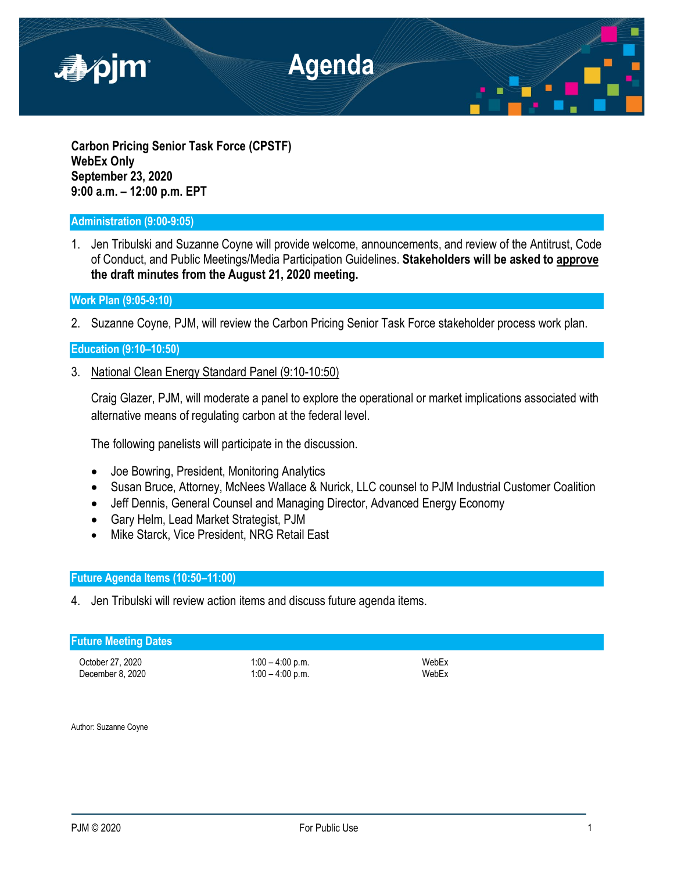

**Carbon Pricing Senior Task Force (CPSTF) WebEx Only September 23, 2020 9:00 a.m. – 12:00 p.m. EPT**

## **Administration (9:00-9:05)**

1. Jen Tribulski and Suzanne Coyne will provide welcome, announcements, and review of the Antitrust, Code of Conduct, and Public Meetings/Media Participation Guidelines. **Stakeholders will be asked to approve the draft minutes from the August 21, 2020 meeting.**

**Work Plan (9:05-9:10)**

2. Suzanne Coyne, PJM, will review the Carbon Pricing Senior Task Force stakeholder process work plan.

## **Education (9:10–10:50)**

3. National Clean Energy Standard Panel (9:10-10:50)

Craig Glazer, PJM, will moderate a panel to explore the operational or market implications associated with alternative means of regulating carbon at the federal level.

The following panelists will participate in the discussion.

- Joe Bowring, President, Monitoring Analytics
- Susan Bruce, Attorney, McNees Wallace & Nurick, LLC counsel to PJM Industrial Customer Coalition
- Jeff Dennis, General Counsel and Managing Director, Advanced Energy Economy
- Gary Helm, Lead Market Strategist, PJM
- Mike Starck, Vice President, NRG Retail East

# **Future Agenda Items (10:50–11:00)**

4. Jen Tribulski will review action items and discuss future agenda items.

## **Future Meeting Dates**

October 27, 2020 1:00 – 4:00 p.m. WebEx

 $1:00 - 4:00$  p.m.

Author: Suzanne Coyne